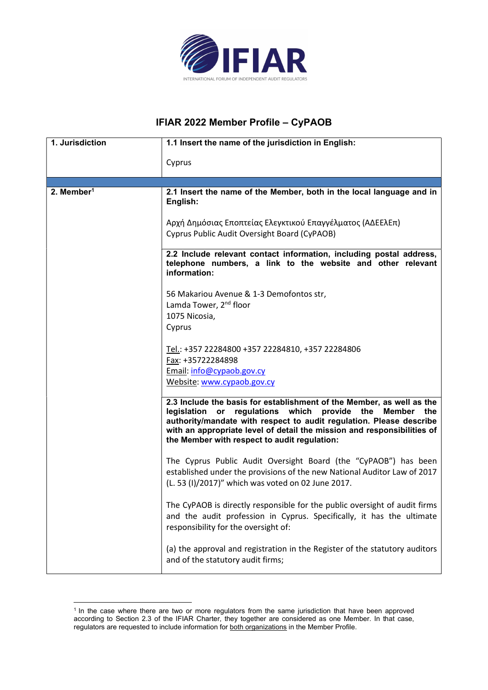

## IFIAR 2022 Member Profile – CyPAOB

| 1. Jurisdiction        | 1.1 Insert the name of the jurisdiction in English:                                                                                                                                                                                                                                                                                      |
|------------------------|------------------------------------------------------------------------------------------------------------------------------------------------------------------------------------------------------------------------------------------------------------------------------------------------------------------------------------------|
|                        | Cyprus                                                                                                                                                                                                                                                                                                                                   |
|                        |                                                                                                                                                                                                                                                                                                                                          |
|                        |                                                                                                                                                                                                                                                                                                                                          |
| 2. Member <sup>1</sup> | 2.1 Insert the name of the Member, both in the local language and in<br>English:                                                                                                                                                                                                                                                         |
|                        | Αρχή Δημόσιας Εποπτείας Ελεγκτικού Επαγγέλματος (ΑΔΕΕλΕπ)<br>Cyprus Public Audit Oversight Board (CyPAOB)                                                                                                                                                                                                                                |
|                        | 2.2 Include relevant contact information, including postal address,<br>telephone numbers, a link to the website and other relevant<br>information:                                                                                                                                                                                       |
|                        | 56 Makariou Avenue & 1-3 Demofontos str,                                                                                                                                                                                                                                                                                                 |
|                        | Lamda Tower, 2 <sup>nd</sup> floor                                                                                                                                                                                                                                                                                                       |
|                        | 1075 Nicosia,                                                                                                                                                                                                                                                                                                                            |
|                        | Cyprus                                                                                                                                                                                                                                                                                                                                   |
|                        | Tel.: +357 22284800 +357 22284810, +357 22284806                                                                                                                                                                                                                                                                                         |
|                        | Fax: +35722284898                                                                                                                                                                                                                                                                                                                        |
|                        | Email: info@cypaob.gov.cy                                                                                                                                                                                                                                                                                                                |
|                        | Website: www.cypaob.gov.cy                                                                                                                                                                                                                                                                                                               |
|                        | 2.3 Include the basis for establishment of the Member, as well as the<br>legislation or regulations which<br>provide the Member<br>the<br>authority/mandate with respect to audit regulation. Please describe<br>with an appropriate level of detail the mission and responsibilities of<br>the Member with respect to audit regulation: |
|                        | The Cyprus Public Audit Oversight Board (the "CyPAOB") has been<br>established under the provisions of the new National Auditor Law of 2017<br>(L. 53 (I)/2017)" which was voted on 02 June 2017.                                                                                                                                        |
|                        | The CyPAOB is directly responsible for the public oversight of audit firms<br>and the audit profession in Cyprus. Specifically, it has the ultimate<br>responsibility for the oversight of:                                                                                                                                              |
|                        | (a) the approval and registration in the Register of the statutory auditors<br>and of the statutory audit firms;                                                                                                                                                                                                                         |

<sup>&</sup>lt;sup>1</sup> In the case where there are two or more regulators from the same jurisdiction that have been approved according to Section 2.3 of the IFIAR Charter, they together are considered as one Member. In that case, regulators are requested to include information for both organizations in the Member Profile.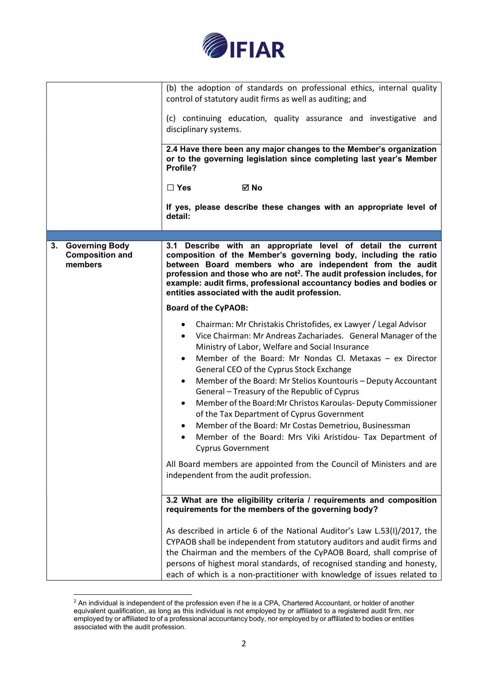

|                                                                  | (b) the adoption of standards on professional ethics, internal quality<br>control of statutory audit firms as well as auditing; and                                                                                                                                                                                                                                                                                                                                                                                                                                                                                                                                                                                                                                                                                                |
|------------------------------------------------------------------|------------------------------------------------------------------------------------------------------------------------------------------------------------------------------------------------------------------------------------------------------------------------------------------------------------------------------------------------------------------------------------------------------------------------------------------------------------------------------------------------------------------------------------------------------------------------------------------------------------------------------------------------------------------------------------------------------------------------------------------------------------------------------------------------------------------------------------|
|                                                                  | (c) continuing education, quality assurance and investigative and<br>disciplinary systems.                                                                                                                                                                                                                                                                                                                                                                                                                                                                                                                                                                                                                                                                                                                                         |
|                                                                  | 2.4 Have there been any major changes to the Member's organization<br>or to the governing legislation since completing last year's Member<br>Profile?                                                                                                                                                                                                                                                                                                                                                                                                                                                                                                                                                                                                                                                                              |
|                                                                  | ⊠ No<br>$\Box$ Yes                                                                                                                                                                                                                                                                                                                                                                                                                                                                                                                                                                                                                                                                                                                                                                                                                 |
|                                                                  | If yes, please describe these changes with an appropriate level of<br>detail:                                                                                                                                                                                                                                                                                                                                                                                                                                                                                                                                                                                                                                                                                                                                                      |
|                                                                  |                                                                                                                                                                                                                                                                                                                                                                                                                                                                                                                                                                                                                                                                                                                                                                                                                                    |
| <b>Governing Body</b><br>3.<br><b>Composition and</b><br>members | 3.1 Describe with an appropriate level of detail the current<br>composition of the Member's governing body, including the ratio<br>between Board members who are independent from the audit<br>profession and those who are not <sup>2</sup> . The audit profession includes, for<br>example: audit firms, professional accountancy bodies and bodies or<br>entities associated with the audit profession.                                                                                                                                                                                                                                                                                                                                                                                                                         |
|                                                                  | <b>Board of the CyPAOB:</b>                                                                                                                                                                                                                                                                                                                                                                                                                                                                                                                                                                                                                                                                                                                                                                                                        |
|                                                                  | Chairman: Mr Christakis Christofides, ex Lawyer / Legal Advisor<br>Vice Chairman: Mr Andreas Zachariades. General Manager of the<br>$\bullet$<br>Ministry of Labor, Welfare and Social Insurance<br>Member of the Board: Mr Nondas Cl. Metaxas - ex Director<br>General CEO of the Cyprus Stock Exchange<br>Member of the Board: Mr Stelios Kountouris - Deputy Accountant<br>$\bullet$<br>General - Treasury of the Republic of Cyprus<br>Member of the Board: Mr Christos Karoulas- Deputy Commissioner<br>٠<br>of the Tax Department of Cyprus Government<br>Member of the Board: Mr Costas Demetriou, Businessman<br>Member of the Board: Mrs Viki Aristidou- Tax Department of<br><b>Cyprus Government</b><br>All Board members are appointed from the Council of Ministers and are<br>independent from the audit profession. |
|                                                                  |                                                                                                                                                                                                                                                                                                                                                                                                                                                                                                                                                                                                                                                                                                                                                                                                                                    |
|                                                                  | 3.2 What are the eligibility criteria / requirements and composition<br>requirements for the members of the governing body?                                                                                                                                                                                                                                                                                                                                                                                                                                                                                                                                                                                                                                                                                                        |
|                                                                  | As described in article 6 of the National Auditor's Law L.53(I)/2017, the<br>CYPAOB shall be independent from statutory auditors and audit firms and<br>the Chairman and the members of the CyPAOB Board, shall comprise of<br>persons of highest moral standards, of recognised standing and honesty,<br>each of which is a non-practitioner with knowledge of issues related to                                                                                                                                                                                                                                                                                                                                                                                                                                                  |

 $^2$  An individual is independent of the profession even if he is a CPA, Chartered Accountant, or holder of another equivalent qualification, as long as this individual is not employed by or affiliated to a registered audit firm, nor employed by or affiliated to of a professional accountancy body, nor employed by or affiliated to bodies or entities associated with the audit profession.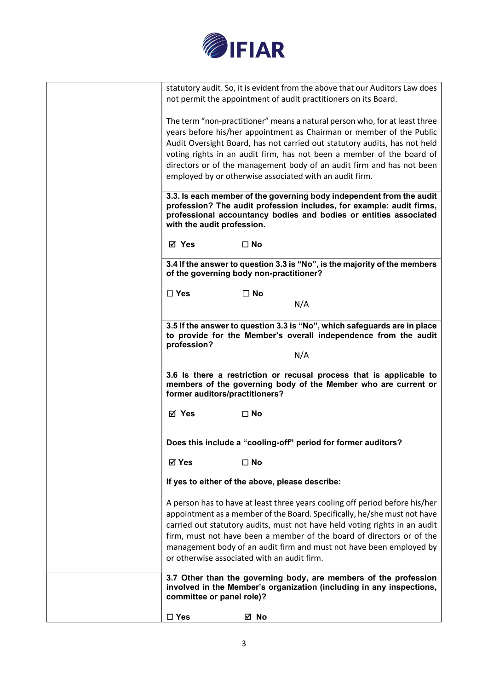

| statutory audit. So, it is evident from the above that our Auditors Law does<br>not permit the appointment of audit practitioners on its Board.                                                                                                                                                                                                                                                                                      |
|--------------------------------------------------------------------------------------------------------------------------------------------------------------------------------------------------------------------------------------------------------------------------------------------------------------------------------------------------------------------------------------------------------------------------------------|
| The term "non-practitioner" means a natural person who, for at least three<br>years before his/her appointment as Chairman or member of the Public<br>Audit Oversight Board, has not carried out statutory audits, has not held                                                                                                                                                                                                      |
| voting rights in an audit firm, has not been a member of the board of                                                                                                                                                                                                                                                                                                                                                                |
| directors or of the management body of an audit firm and has not been                                                                                                                                                                                                                                                                                                                                                                |
| employed by or otherwise associated with an audit firm.                                                                                                                                                                                                                                                                                                                                                                              |
| 3.3. Is each member of the governing body independent from the audit<br>profession? The audit profession includes, for example: audit firms,<br>professional accountancy bodies and bodies or entities associated<br>with the audit profession.                                                                                                                                                                                      |
| ⊠ Yes<br>$\square$ No                                                                                                                                                                                                                                                                                                                                                                                                                |
| 3.4 If the answer to question 3.3 is "No", is the majority of the members<br>of the governing body non-practitioner?                                                                                                                                                                                                                                                                                                                 |
| $\square$ No<br>$\square$ Yes                                                                                                                                                                                                                                                                                                                                                                                                        |
| N/A                                                                                                                                                                                                                                                                                                                                                                                                                                  |
|                                                                                                                                                                                                                                                                                                                                                                                                                                      |
| 3.5 If the answer to question 3.3 is "No", which safeguards are in place<br>to provide for the Member's overall independence from the audit<br>profession?<br>N/A                                                                                                                                                                                                                                                                    |
| 3.6 Is there a restriction or recusal process that is applicable to                                                                                                                                                                                                                                                                                                                                                                  |
| members of the governing body of the Member who are current or<br>former auditors/practitioners?                                                                                                                                                                                                                                                                                                                                     |
| ⊠ Yes<br>$\square$ No                                                                                                                                                                                                                                                                                                                                                                                                                |
| Does this include a "cooling-off" period for former auditors?                                                                                                                                                                                                                                                                                                                                                                        |
| <b>ØYes</b><br>$\square$ No                                                                                                                                                                                                                                                                                                                                                                                                          |
| If yes to either of the above, please describe:                                                                                                                                                                                                                                                                                                                                                                                      |
|                                                                                                                                                                                                                                                                                                                                                                                                                                      |
| A person has to have at least three years cooling off period before his/her<br>appointment as a member of the Board. Specifically, he/she must not have<br>carried out statutory audits, must not have held voting rights in an audit<br>firm, must not have been a member of the board of directors or of the<br>management body of an audit firm and must not have been employed by<br>or otherwise associated with an audit firm. |
| 3.7 Other than the governing body, are members of the profession<br>involved in the Member's organization (including in any inspections,<br>committee or panel role)?                                                                                                                                                                                                                                                                |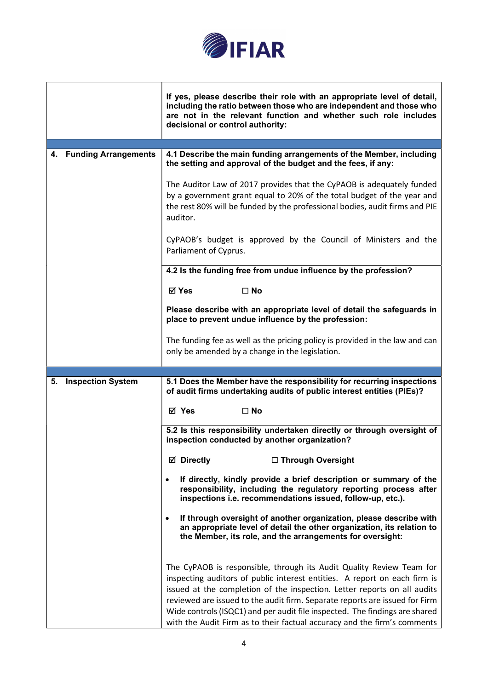

|                         | If yes, please describe their role with an appropriate level of detail,<br>including the ratio between those who are independent and those who<br>are not in the relevant function and whether such role includes<br>decisional or control authority:                                                                                                                                                                                                                   |
|-------------------------|-------------------------------------------------------------------------------------------------------------------------------------------------------------------------------------------------------------------------------------------------------------------------------------------------------------------------------------------------------------------------------------------------------------------------------------------------------------------------|
|                         |                                                                                                                                                                                                                                                                                                                                                                                                                                                                         |
| 4. Funding Arrangements | 4.1 Describe the main funding arrangements of the Member, including<br>the setting and approval of the budget and the fees, if any:                                                                                                                                                                                                                                                                                                                                     |
|                         | The Auditor Law of 2017 provides that the CyPAOB is adequately funded<br>by a government grant equal to 20% of the total budget of the year and<br>the rest 80% will be funded by the professional bodies, audit firms and PIE<br>auditor.                                                                                                                                                                                                                              |
|                         | CyPAOB's budget is approved by the Council of Ministers and the<br>Parliament of Cyprus.                                                                                                                                                                                                                                                                                                                                                                                |
|                         | 4.2 Is the funding free from undue influence by the profession?                                                                                                                                                                                                                                                                                                                                                                                                         |
|                         | <b>⊠</b> Yes<br>$\square$ No                                                                                                                                                                                                                                                                                                                                                                                                                                            |
|                         | Please describe with an appropriate level of detail the safeguards in<br>place to prevent undue influence by the profession:                                                                                                                                                                                                                                                                                                                                            |
|                         | The funding fee as well as the pricing policy is provided in the law and can<br>only be amended by a change in the legislation.                                                                                                                                                                                                                                                                                                                                         |
|                         |                                                                                                                                                                                                                                                                                                                                                                                                                                                                         |
| 5. Inspection System    | 5.1 Does the Member have the responsibility for recurring inspections<br>of audit firms undertaking audits of public interest entities (PIEs)?                                                                                                                                                                                                                                                                                                                          |
|                         | ⊠ Yes<br>$\square$ No                                                                                                                                                                                                                                                                                                                                                                                                                                                   |
|                         | 5.2 Is this responsibility undertaken directly or through oversight of<br>inspection conducted by another organization?                                                                                                                                                                                                                                                                                                                                                 |
|                         | □ Through Oversight<br><b>⊠</b> Directly                                                                                                                                                                                                                                                                                                                                                                                                                                |
|                         | If directly, kindly provide a brief description or summary of the<br>$\bullet$<br>responsibility, including the regulatory reporting process after<br>inspections i.e. recommendations issued, follow-up, etc.).                                                                                                                                                                                                                                                        |
|                         | If through oversight of another organization, please describe with<br>an appropriate level of detail the other organization, its relation to<br>the Member, its role, and the arrangements for oversight:                                                                                                                                                                                                                                                               |
|                         | The CyPAOB is responsible, through its Audit Quality Review Team for<br>inspecting auditors of public interest entities. A report on each firm is<br>issued at the completion of the inspection. Letter reports on all audits<br>reviewed are issued to the audit firm. Separate reports are issued for Firm<br>Wide controls (ISQC1) and per audit file inspected. The findings are shared<br>with the Audit Firm as to their factual accuracy and the firm's comments |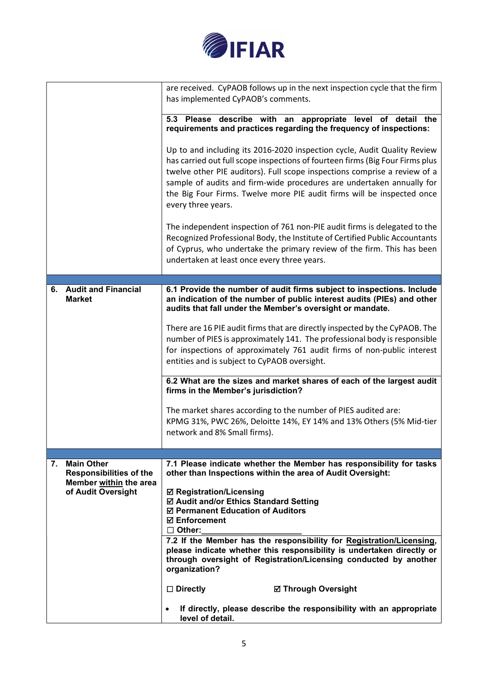

|    |                                                                                                     | are received. CyPAOB follows up in the next inspection cycle that the firm<br>has implemented CyPAOB's comments.                                                                                                                                                                                                                                                                                                |
|----|-----------------------------------------------------------------------------------------------------|-----------------------------------------------------------------------------------------------------------------------------------------------------------------------------------------------------------------------------------------------------------------------------------------------------------------------------------------------------------------------------------------------------------------|
|    |                                                                                                     |                                                                                                                                                                                                                                                                                                                                                                                                                 |
|    |                                                                                                     | 5.3 Please describe with an appropriate level of detail the<br>requirements and practices regarding the frequency of inspections:                                                                                                                                                                                                                                                                               |
|    |                                                                                                     | Up to and including its 2016-2020 inspection cycle, Audit Quality Review<br>has carried out full scope inspections of fourteen firms (Big Four Firms plus<br>twelve other PIE auditors). Full scope inspections comprise a review of a<br>sample of audits and firm-wide procedures are undertaken annually for<br>the Big Four Firms. Twelve more PIE audit firms will be inspected once<br>every three years. |
|    |                                                                                                     | The independent inspection of 761 non-PIE audit firms is delegated to the<br>Recognized Professional Body, the Institute of Certified Public Accountants<br>of Cyprus, who undertake the primary review of the firm. This has been<br>undertaken at least once every three years.                                                                                                                               |
|    |                                                                                                     |                                                                                                                                                                                                                                                                                                                                                                                                                 |
|    | 6. Audit and Financial<br><b>Market</b>                                                             | 6.1 Provide the number of audit firms subject to inspections. Include<br>an indication of the number of public interest audits (PIEs) and other<br>audits that fall under the Member's oversight or mandate.                                                                                                                                                                                                    |
|    |                                                                                                     | There are 16 PIE audit firms that are directly inspected by the CyPAOB. The                                                                                                                                                                                                                                                                                                                                     |
|    |                                                                                                     | number of PIES is approximately 141. The professional body is responsible                                                                                                                                                                                                                                                                                                                                       |
|    |                                                                                                     | for inspections of approximately 761 audit firms of non-public interest<br>entities and is subject to CyPAOB oversight.                                                                                                                                                                                                                                                                                         |
|    |                                                                                                     | 6.2 What are the sizes and market shares of each of the largest audit<br>firms in the Member's jurisdiction?                                                                                                                                                                                                                                                                                                    |
|    |                                                                                                     | The market shares according to the number of PIES audited are:<br>KPMG 31%, PWC 26%, Deloitte 14%, EY 14% and 13% Others (5% Mid-tier<br>network and 8% Small firms).                                                                                                                                                                                                                                           |
|    |                                                                                                     |                                                                                                                                                                                                                                                                                                                                                                                                                 |
| 7. | <b>Main Other</b><br><b>Responsibilities of the</b><br>Member within the area<br>of Audit Oversight | 7.1 Please indicate whether the Member has responsibility for tasks<br>other than Inspections within the area of Audit Oversight:                                                                                                                                                                                                                                                                               |
|    |                                                                                                     | <b>Ø Registration/Licensing</b><br>☑ Audit and/or Ethics Standard Setting<br>☑ Permanent Education of Auditors<br><b>☑ Enforcement</b><br>$\Box$ Other:                                                                                                                                                                                                                                                         |
|    |                                                                                                     | 7.2 If the Member has the responsibility for Registration/Licensing,<br>please indicate whether this responsibility is undertaken directly or<br>through oversight of Registration/Licensing conducted by another<br>organization?                                                                                                                                                                              |
|    |                                                                                                     | $\Box$ Directly<br><b>Ø Through Oversight</b>                                                                                                                                                                                                                                                                                                                                                                   |
|    |                                                                                                     | If directly, please describe the responsibility with an appropriate<br>$\bullet$<br>level of detail.                                                                                                                                                                                                                                                                                                            |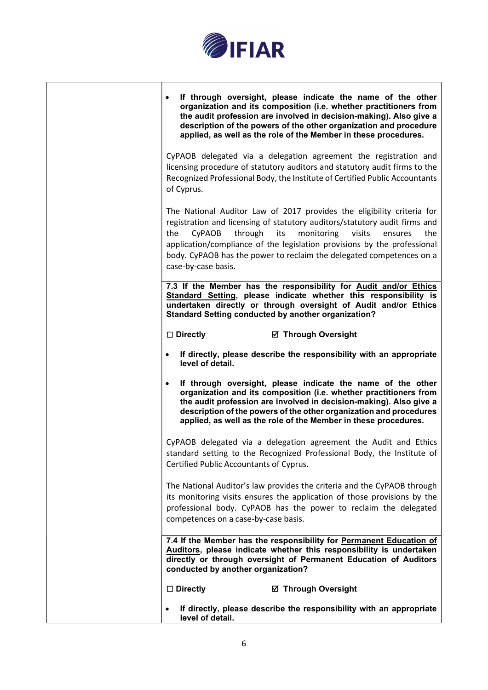

┑

|                                                 | If through oversight, please indicate the name of the other<br>organization and its composition (i.e. whether practitioners from<br>the audit profession are involved in decision-making). Also give a<br>description of the powers of the other organization and procedure<br>applied, as well as the role of the Member in these procedures.            |
|-------------------------------------------------|-----------------------------------------------------------------------------------------------------------------------------------------------------------------------------------------------------------------------------------------------------------------------------------------------------------------------------------------------------------|
| of Cyprus.                                      | CyPAOB delegated via a delegation agreement the registration and<br>licensing procedure of statutory auditors and statutory audit firms to the<br>Recognized Professional Body, the Institute of Certified Public Accountants                                                                                                                             |
| through<br>the<br>CyPAOB<br>case-by-case basis. | The National Auditor Law of 2017 provides the eligibility criteria for<br>registration and licensing of statutory auditors/statutory audit firms and<br>monitoring<br>its<br>visits<br>the<br>ensures<br>application/compliance of the legislation provisions by the professional<br>body. CyPAOB has the power to reclaim the delegated competences on a |
|                                                 | 7.3 If the Member has the responsibility for Audit and/or Ethics<br>Standard Setting, please indicate whether this responsibility is<br>undertaken directly or through oversight of Audit and/or Ethics<br><b>Standard Setting conducted by another organization?</b>                                                                                     |
| $\Box$ Directly                                 | ☑ Through Oversight                                                                                                                                                                                                                                                                                                                                       |
| level of detail.                                | If directly, please describe the responsibility with an appropriate                                                                                                                                                                                                                                                                                       |
|                                                 | If through oversight, please indicate the name of the other<br>organization and its composition (i.e. whether practitioners from<br>the audit profession are involved in decision-making). Also give a<br>description of the powers of the other organization and procedures<br>applied, as well as the role of the Member in these procedures.           |
| Certified Public Accountants of Cyprus.         | CyPAOB delegated via a delegation agreement the Audit and Ethics<br>standard setting to the Recognized Professional Body, the Institute of                                                                                                                                                                                                                |
| competences on a case-by-case basis.            | The National Auditor's law provides the criteria and the CyPAOB through<br>its monitoring visits ensures the application of those provisions by the<br>professional body. CyPAOB has the power to reclaim the delegated                                                                                                                                   |
| conducted by another organization?              | 7.4 If the Member has the responsibility for Permanent Education of<br>Auditors, please indicate whether this responsibility is undertaken<br>directly or through oversight of Permanent Education of Auditors                                                                                                                                            |
| $\square$ Directly                              | <b>Ø</b> Through Oversight                                                                                                                                                                                                                                                                                                                                |
| level of detail.                                | If directly, please describe the responsibility with an appropriate                                                                                                                                                                                                                                                                                       |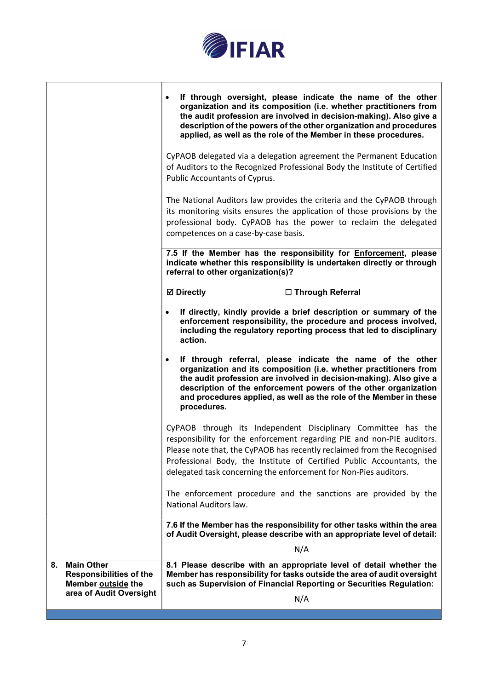

|                                                                                 | If through oversight, please indicate the name of the other<br>$\bullet$<br>organization and its composition (i.e. whether practitioners from<br>the audit profession are involved in decision-making). Also give a<br>description of the powers of the other organization and procedures<br>applied, as well as the role of the Member in these procedures.               |
|---------------------------------------------------------------------------------|----------------------------------------------------------------------------------------------------------------------------------------------------------------------------------------------------------------------------------------------------------------------------------------------------------------------------------------------------------------------------|
|                                                                                 | CyPAOB delegated via a delegation agreement the Permanent Education<br>of Auditors to the Recognized Professional Body the Institute of Certified<br>Public Accountants of Cyprus.                                                                                                                                                                                         |
|                                                                                 | The National Auditors law provides the criteria and the CyPAOB through<br>its monitoring visits ensures the application of those provisions by the<br>professional body. CyPAOB has the power to reclaim the delegated<br>competences on a case-by-case basis.                                                                                                             |
|                                                                                 | 7.5 If the Member has the responsibility for <b>Enforcement</b> , please<br>indicate whether this responsibility is undertaken directly or through<br>referral to other organization(s)?                                                                                                                                                                                   |
|                                                                                 | <b>Ø</b> Directly<br>□ Through Referral                                                                                                                                                                                                                                                                                                                                    |
|                                                                                 | If directly, kindly provide a brief description or summary of the<br>enforcement responsibility, the procedure and process involved,<br>including the regulatory reporting process that led to disciplinary<br>action.                                                                                                                                                     |
|                                                                                 | If through referral, please indicate the name of the other<br>$\bullet$<br>organization and its composition (i.e. whether practitioners from<br>the audit profession are involved in decision-making). Also give a<br>description of the enforcement powers of the other organization<br>and procedures applied, as well as the role of the Member in these<br>procedures. |
|                                                                                 | CyPAOB through its Independent Disciplinary Committee has the                                                                                                                                                                                                                                                                                                              |
|                                                                                 | responsibility for the enforcement regarding PIE and non-PIE auditors.<br>Please note that, the CyPAOB has recently reclaimed from the Recognised                                                                                                                                                                                                                          |
|                                                                                 | Professional Body, the Institute of Certified Public Accountants, the<br>delegated task concerning the enforcement for Non-Pies auditors.                                                                                                                                                                                                                                  |
|                                                                                 | The enforcement procedure and the sanctions are provided by the<br>National Auditors law.                                                                                                                                                                                                                                                                                  |
|                                                                                 | 7.6 If the Member has the responsibility for other tasks within the area<br>of Audit Oversight, please describe with an appropriate level of detail:                                                                                                                                                                                                                       |
|                                                                                 | N/A                                                                                                                                                                                                                                                                                                                                                                        |
| <b>Main Other</b><br>8.<br><b>Responsibilities of the</b><br>Member outside the | 8.1 Please describe with an appropriate level of detail whether the<br>Member has responsibility for tasks outside the area of audit oversight<br>such as Supervision of Financial Reporting or Securities Regulation:                                                                                                                                                     |
| area of Audit Oversight                                                         | N/A                                                                                                                                                                                                                                                                                                                                                                        |